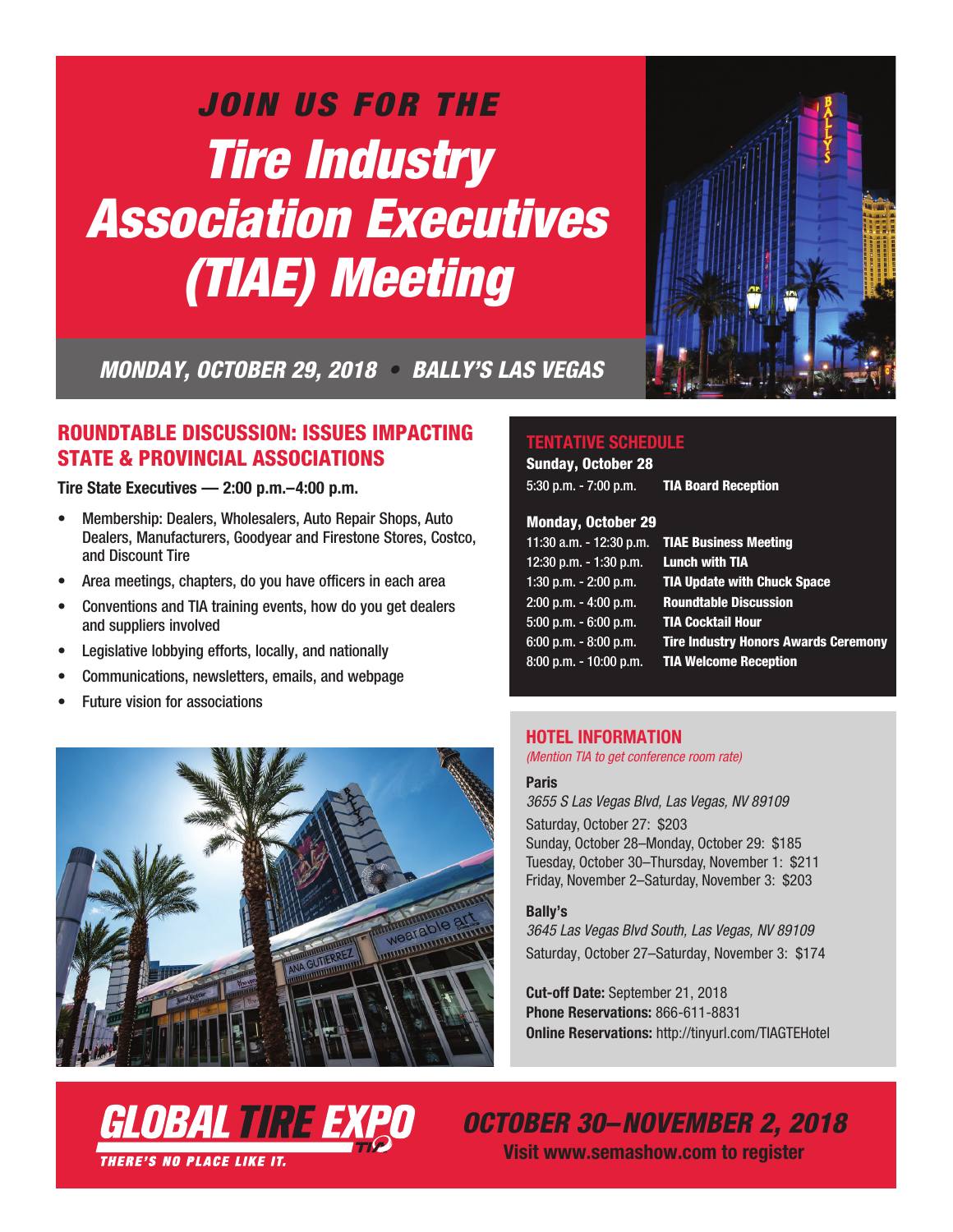# *JOIN US FOR THE Tire Industry Association Executives (TIAE) Meeting*



*MONDAY, OCTOBER 29, 2018 • BALLY'S LAS VEGAS*

## ROUNDTABLE DISCUSSION: ISSUES IMPACTING STATE & PROVINCIAL ASSOCIATIONS

**Tire State Executives — 2:00 p.m.–4:00 p.m.**

- Membership: Dealers, Wholesalers, Auto Repair Shops, Auto Dealers, Manufacturers, Goodyear and Firestone Stores, Costco, and Discount Tire
- Area meetings, chapters, do you have officers in each area
- Conventions and TIA training events, how do you get dealers and suppliers involved
- Legislative lobbying efforts, locally, and nationally
- Communications, newsletters, emails, and webpage
- Future vision for associations



GLOBAL TIRE EXH

**THERE'S NO PLACE LIKE IT.** 

### **TENTATIVE SCHEDULE**

Sunday, October 28 5:30 p.m. - 7:00 p.m. TIA Board Reception

#### Monday, October 29

| <b>TIAE Business Meeting</b>                |
|---------------------------------------------|
| <b>Lunch with TIA</b>                       |
| <b>TIA Update with Chuck Space</b>          |
| <b>Roundtable Discussion</b>                |
| <b>TIA Cocktail Hour</b>                    |
| <b>Tire Industry Honors Awards Ceremony</b> |
| <b>TIA Welcome Reception</b>                |
|                                             |

### **HOTEL INFORMATION**

*(Mention TIA to get conference room rate)*

#### **Paris**

*3655 S Las Vegas Blvd, Las Vegas, NV 89109* Saturday, October 27: \$203 Sunday, October 28–Monday, October 29: \$185 Tuesday, October 30–Thursday, November 1: \$211 Friday, November 2–Saturday, November 3: \$203

#### **Bally's**

*3645 Las Vegas Blvd South, Las Vegas, NV 89109* Saturday, October 27–Saturday, November 3: \$174

**Cut-off Date:** September 21, 2018 **Phone Reservations:** 866-611-8831 **Online Reservations:** http://tinyurl.com/TIAGTEHotel

*OCTOBER 30–NOVEMBER 2, 2018*

**Visit www.semashow.com to register**